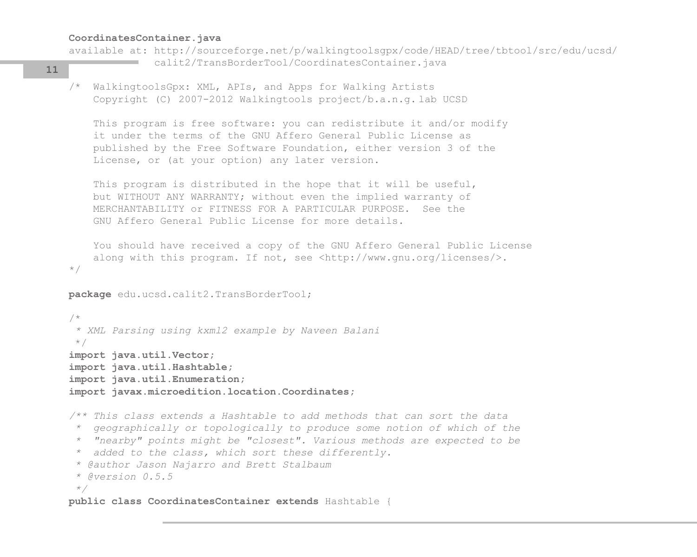#### **CoordinatesContainer.java**

```
available at: http://sourceforge.net/p/walkingtoolsgpx/code/HEAD/tree/tbtool/src/edu/ucsd/
                  calit2/TransBorderTool/CoordinatesContainer.java
11
```

```
/* WalkingtoolsGpx: XML, APIs, and Apps for Walking Artists
     Copyright (C) 2007-2012 Walkingtools project/b.a.n.g. lab UCSD
```
 This program is free software: you can redistribute it and/or modify it under the terms of the GNU Affero General Public License as published by the Free Software Foundation, either version 3 of the License, or (at your option) any later version.

 This program is distributed in the hope that it will be useful, but WITHOUT ANY WARRANTY; without even the implied warranty of MERCHANTABILITY or FITNESS FOR A PARTICULAR PURPOSE. See the GNU Affero General Public License for more details.

 You should have received a copy of the GNU Affero General Public License along with this program. If not, see <http://www.gnu.org/licenses/>. \*/

```
package edu.ucsd.calit2.TransBorderTool;
```
/\*  *\* XML Parsing using kxml2 example by Naveen Balani* \*/ **import java.util.Vector; import java.util.Hashtable; import java.util.Enumeration; import javax.microedition.location.Coordinates;** */\*\* This class extends a Hashtable to add methods that can sort the data \* geographically or topologically to produce some notion of which of the \* "nearby" points might be "closest". Various methods are expected to be \* added to the class, which sort these differently. \* @author Jason Najarro and Brett Stalbaum \* @version 0.5.5 \*/* **public class CoordinatesContainer extends** Hashtable {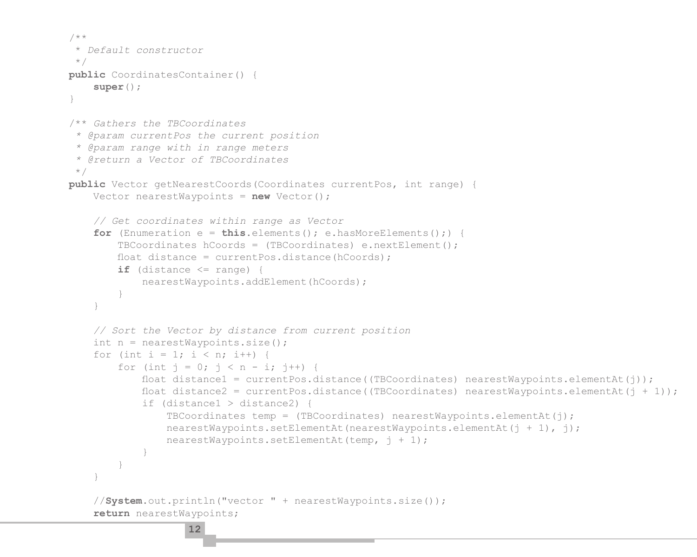```
 /**
     * Default constructor
     */
    public CoordinatesContainer() {
        super();
 }
    /** Gathers the TBCoordinates
      * @param currentPos the current position
      * @param range with in range meters
      * @return a Vector of TBCoordinates
     */
    public Vector getNearestCoords(Coordinates currentPos, int range) {
        Vector nearestWaypoints = new Vector();
        // Get coordinates within range as Vector
       for (Enumeration e = \text{this}.\text{elements}(); e.hasMoreElements();) {
            TBCoordinates hCoords = (TBCoordinates) e.nextElement();
           float distance = currentPos.distance(hCoords);
           if (distance \leq range) {
                nearestWaypoints.addElement(hCoords);
 }
 }
        // Sort the Vector by distance from current position
       int n = nearestWaypoints.size();
       for (int i = 1; i < n; i++) {
           for (int j = 0; j < n - i; j++) {
               float distance1 = currentPos.distance((TBCoordinates) nearestWaypoints.elementAt(j));
               float distance2 = currentPos.distance((TBCoordinates) nearestWaypoints.elementAt(j + 1));
                if (distance1 > distance2) {
                   TBCoordinates temp = (TBCoordinates) nearestWaypoints.elementAt(j);nearestWaypoints.setElementAt(nearestWaypoints.elementAt(j + 1), j);
                    nearestWaypoints.setElementAt(temp, j + 1);
 }
 }
 }
        //System.out.println("vector " + nearestWaypoints.size());
        return nearestWaypoints;
```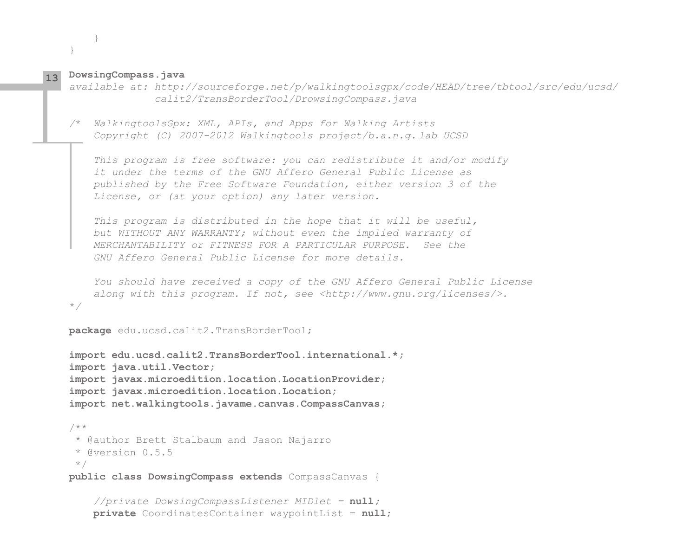**DowsingCompass.java 13**

 } }

*available at: http://sourceforge.net/p/walkingtoolsgpx/code/HEAD/tree/tbtool/src/edu/ucsd/ calit2/TransBorderTool/DrowsingCompass.java*

*/*\* *WalkingtoolsGpx: XML, APIs, and Apps for Walking Artists Copyright (C) 2007-2012 Walkingtools project/b.a.n.g. lab UCSD*

 *This program is free software: you can redistribute it and/or modify it under the terms of the GNU Affero General Public License as published by the Free Software Foundation, either version 3 of the License, or (at your option) any later version.*

 *This program is distributed in the hope that it will be useful, but WITHOUT ANY WARRANTY; without even the implied warranty of MERCHANTABILITY or FITNESS FOR A PARTICULAR PURPOSE. See the GNU Affero General Public License for more details.*

 *You should have received a copy of the GNU Affero General Public License along with this program. If not, see <http://www.gnu.org/licenses/>.* \**/*

```
package edu.ucsd.calit2.TransBorderTool;
```

```
import edu.ucsd.calit2.TransBorderTool.international.*;
import java.util.Vector;
import javax.microedition.location.LocationProvider;
import javax.microedition.location.Location;
import net.walkingtools.javame.canvas.CompassCanvas;
/**
 * @author Brett Stalbaum and Jason Najarro
```

```
 * @version 0.5.5
```
\*/

**public class DowsingCompass extends** CompassCanvas {

```
 //private DowsingCompassListener MIDlet = null;
 private CoordinatesContainer waypointList = null;
```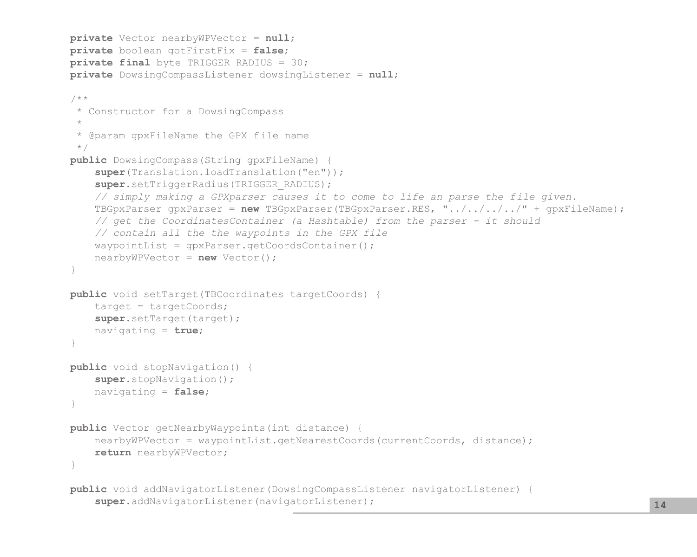```
 private Vector nearbyWPVector = null;
    private boolean gotFirstFix = false;
   private final byte TRIGGER RADIUS = 30;
    private DowsingCompassListener dowsingListener = null;
    /**
     * Constructor for a DowsingCompass
\star * @param gpxFileName the GPX file name
     */
    public DowsingCompass(String gpxFileName) {
        super(Translation.loadTranslation("en"));
       super.setTriggerRadius(TRIGGER_RADIUS);
        // simply making a GPXparser causes it to come to life an parse the file given.
        TBGpxParser gpxParser = new TBGpxParser(TBGpxParser.RES, "../../../../" + gpxFileName);
        // get the CoordinatesContainer (a Hashtable) from the parser - it should
        // contain all the the waypoints in the GPX file
       waypointList = qpxParser.getCoordinatesContainer(); nearbyWPVector = new Vector();
 }
    public void setTarget(TBCoordinates targetCoords) {
       target = targetCoords; super.setTarget(target);
        navigating = true;
 }
    public void stopNavigation() {
        super.stopNavigation();
        navigating = false;
 }
    public Vector getNearbyWaypoints(int distance) {
       nearbyWPVector = waypointList.getNearestCoords(currentCoords, distance);
        return nearbyWPVector;
 }
    public void addNavigatorListener(DowsingCompassListener navigatorListener) {
        super.addNavigatorListener(navigatorListener); 14
```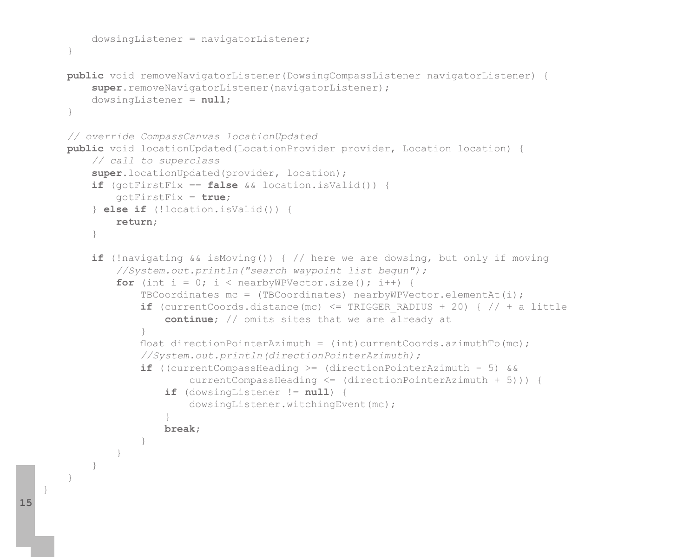```
 dowsingListener = navigatorListener;
 }
    public void removeNavigatorListener(DowsingCompassListener navigatorListener) {
       super.removeNavigatorListener(navigatorListener);
        dowsingListener = null;
 }
    // override CompassCanvas locationUpdated
    public void locationUpdated(LocationProvider provider, Location location) {
        // call to superclass
        super.locationUpdated(provider, location);
        if (gotFirstFix == false && location.isValid()) {
            gotFirstFix = true;
        } else if (!location.isValid()) {
            return;
 }
        if (!navigating && isMoving()) { // here we are dowsing, but only if moving
            //System.out.println("search waypoint list begun");
           for (int i = 0; i < nearbyWPVector.size(); i++) {
                TBCoordinates mc = (TBCoordinates) nearbyWPVector.elementAt(i);
               if (currentCoords.distance(mc) <= TRIGGER RADIUS + 20) { // + a little
                    continue; // omits sites that we are already at
 }
               float directionPointerAzimuth = (int) currentCoords.azimuthTo(mc);
                //System.out.println(directionPointerAzimuth);
                if ((currentCompassHeading >= (directionPointerAzimuth - 5) &&
                        currentCompassHeading <= (directionPointerAzimuth + 5))) {
                    if (dowsingListener != null) {
                        dowsingListener.witchingEvent(mc);
 }
                    break;
 }
 }
 }
 }
```
}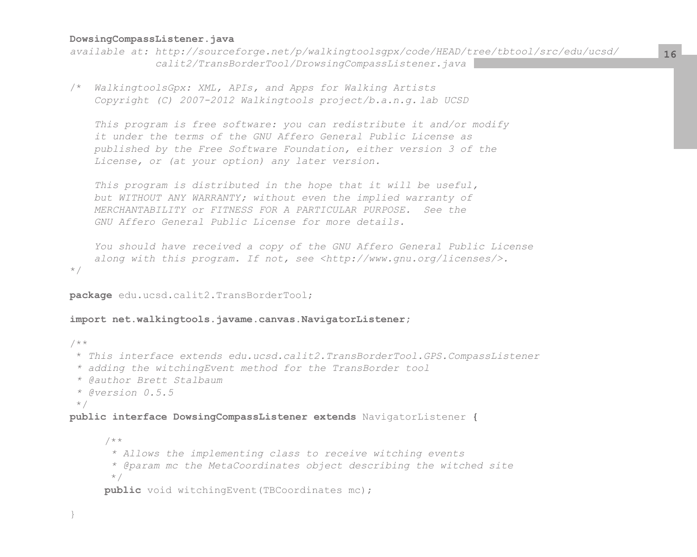# **DowsingCompassListener.java**

*available at: http://sourceforge.net/p/walkingtoolsgpx/code/HEAD/tree/tbtool/src/edu/ucsd/ calit2/TransBorderTool/DrowsingCompassListener.java*

/\* *WalkingtoolsGpx: XML, APIs, and Apps for Walking Artists Copyright (C) 2007-2012 Walkingtools project/b.a.n.g. lab UCSD*

 *This program is free software: you can redistribute it and/or modify it under the terms of the GNU Affero General Public License as published by the Free Software Foundation, either version 3 of the License, or (at your option) any later version.*

 *This program is distributed in the hope that it will be useful, but WITHOUT ANY WARRANTY; without even the implied warranty of MERCHANTABILITY or FITNESS FOR A PARTICULAR PURPOSE. See the GNU Affero General Public License for more details.*

```
 You should have received a copy of the GNU Affero General Public License
     along with this program. If not, see <http://www.gnu.org/licenses/>.
*/
```
## **package** edu.ucsd.calit2.TransBorderTool;

#### **import net.walkingtools.javame.canvas.NavigatorListener;**

```
/**
  * This interface extends edu.ucsd.calit2.TransBorderTool.GPS.CompassListener
  * adding the witchingEvent method for the TransBorder tool
  * @author Brett Stalbaum
  * @version 0.5.5
  */
public interface DowsingCompassListener extends NavigatorListener {
      /**
        * Allows the implementing class to receive witching events
        * @param mc the MetaCoordinates object describing the witched site
        */
     public void witchingEvent(TBCoordinates mc);
```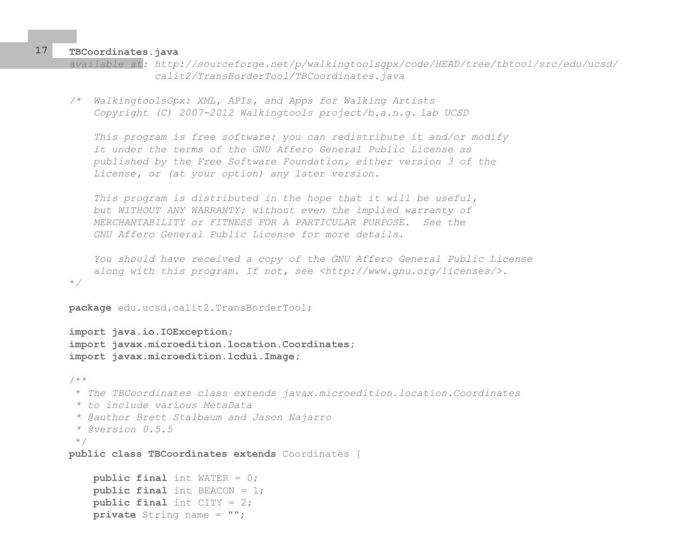**TBCoordinates.java**

\**/*

```
available at: http://sourceforge.net/p/walkingtoolsgpx/code/HEAD/tree/tbtool/src/edu/ucsd/
               calit2/TransBorderTool/TBCoordinates.java
```
*/\* WalkingtoolsGpx: XML, APIs, and Apps for Walking Artists Copyright (C) 2007-2012 Walkingtools project/b.a.n.g. lab UCSD*

 *This program is free software: you can redistribute it and/or modify it under the terms of the GNU Affero General Public License as published by the Free Software Foundation, either version 3 of the License, or (at your option) any later version.*

 *This program is distributed in the hope that it will be useful, but WITHOUT ANY WARRANTY; without even the implied warranty of MERCHANTABILITY or FITNESS FOR A PARTICULAR PURPOSE. See the GNU Affero General Public License for more details.*

 *You should have received a copy of the GNU Affero General Public License along with this program. If not, see <http://www.gnu.org/licenses/>.*

```
package edu.ucsd.calit2.TransBorderTool;
```
**import java.io.IOException; import javax.microedition.location.Coordinates; import javax.microedition.lcdui.Image;**

```
/**
  * The TBCoordinates class extends javax.microedition.location.Coordinates
  * to include various MetaData
  * @author Brett Stalbaum and Jason Najarro
  * @version 0.5.5
  */
public class TBCoordinates extends Coordinates {
     public final int WATER = 0;
     public final int BEACON = 1;
```

```
 public final int CITY = 2;
```

```
 private String name = "";
```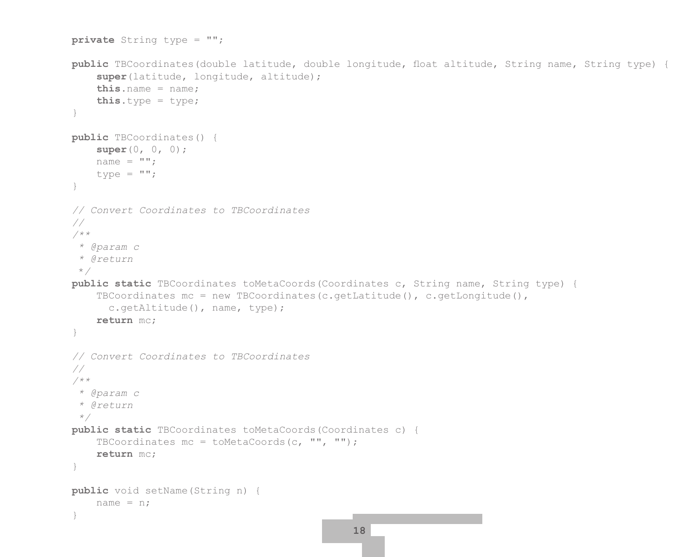```
 private String type = "";
   public TBCoordinates(double latitude, double longitude, float altitude, String name, String type) {
         super(latitude, longitude, altitude);
         this.name = name;
         this.type = type;
 }
    public TBCoordinates() {
         super(0, 0, 0);
       name = " "type = ^{\mathsf{m}}";
 }
     // Convert Coordinates to TBCoordinates
    //
     /**
      * @param c
      * @return
      */
    public static TBCoordinates toMetaCoords(Coordinates c, String name, String type) {
       TBCoordinates mc = new TBCoordinates(c.getLatitude(), c.getLongitude(),
           c.getAltitude(), name, type);
        return mc;
 }
    // Convert Coordinates to TBCoordinates
     //
     /**
      * @param c
      * @return
      */
    public static TBCoordinates toMetaCoords(Coordinates c) {
        TBCoordinates mc = toMetaCoords(c, "", "");
         return mc;
 }
    public void setName(String n) {
       name = n;
 }
                                                    18
```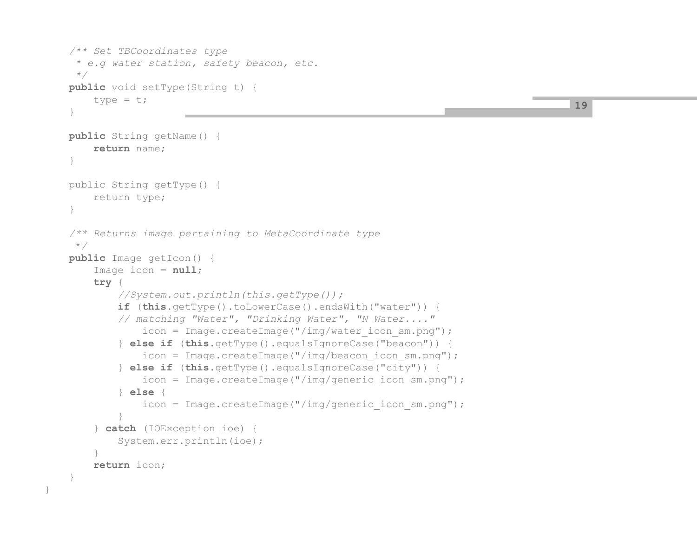```
 /** Set TBCoordinates type
      * e.g water station, safety beacon, etc.
      */
    public void setType(String t) {
        type = t;
\qquad \qquad \} public String getName() {
         return name;
 }
    public String getType() {
         return type;
 }
    /** Returns image pertaining to MetaCoordinate type
      */
    public Image getIcon() {
         Image icon = null;
         try {
             //System.out.println(this.getType());
             if (this.getType().toLowerCase().endsWith("water")) { 
             // matching "Water", "Drinking Water", "N Water...."
                 icon = Image.createImage("/img/water_icon_sm.png");
             } else if (this.getType().equalsIgnoreCase("beacon")) {
                 icon = Image.createImage("/img/beacon_icon_sm.png");
             } else if (this.getType().equalsIgnoreCase("city")) {
                 icon = Image.createImage("/img/generic_icon_sm.png");
             } else {
                 icon = Image.createImage("/img/generic_icon_sm.png");
 }
         } catch (IOException ioe) {
             System.err.println(ioe);
 }
         return icon;
\qquad \qquad \}
```
}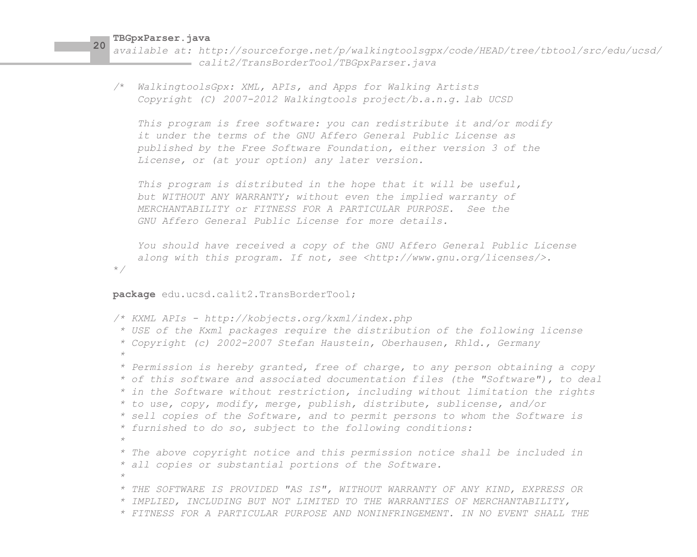*available at: http://sourceforge.net/p/walkingtoolsgpx/code/HEAD/tree/tbtool/src/edu/ucsd/ calit2/TransBorderTool/TBGpxParser.java*

*/*\* *WalkingtoolsGpx: XML, APIs, and Apps for Walking Artists Copyright (C) 2007-2012 Walkingtools project/b.a.n.g. lab UCSD*

 *This program is free software: you can redistribute it and/or modify it under the terms of the GNU Affero General Public License as published by the Free Software Foundation, either version 3 of the License, or (at your option) any later version.*

 *This program is distributed in the hope that it will be useful, but WITHOUT ANY WARRANTY; without even the implied warranty of MERCHANTABILITY or FITNESS FOR A PARTICULAR PURPOSE. See the GNU Affero General Public License for more details.*

 *You should have received a copy of the GNU Affero General Public License along with this program. If not, see <http://www.gnu.org/licenses/>.* \**/*

**package** edu.ucsd.calit2.TransBorderTool;

```
/* KXML APIs - http://kobjects.org/kxml/index.php
  * USE of the Kxml packages require the distribution of the following license
  * Copyright (c) 2002-2007 Stefan Haustein, Oberhausen, Rhld., Germany
  * 
  * Permission is hereby granted, free of charge, to any person obtaining a copy
  * of this software and associated documentation files (the "Software"), to deal
  * in the Software without restriction, including without limitation the rights
  * to use, copy, modify, merge, publish, distribute, sublicense, and/or
  * sell copies of the Software, and to permit persons to whom the Software is
  * furnished to do so, subject to the following conditions:
 * 
  * The above copyright notice and this permission notice shall be included in
  * all copies or substantial portions of the Software.
 * 
  * THE SOFTWARE IS PROVIDED "AS IS", WITHOUT WARRANTY OF ANY KIND, EXPRESS OR
  * IMPLIED, INCLUDING BUT NOT LIMITED TO THE WARRANTIES OF MERCHANTABILITY,
  * FITNESS FOR A PARTICULAR PURPOSE AND NONINFRINGEMENT. IN NO EVENT SHALL THE
```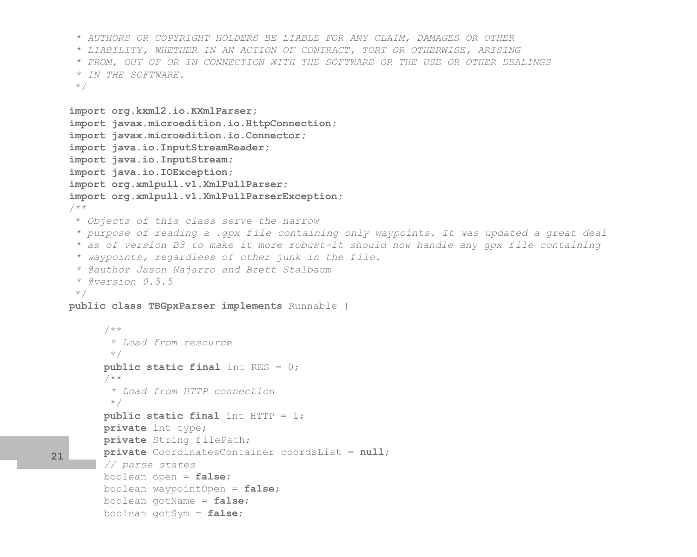```
 * AUTHORS OR COPYRIGHT HOLDERS BE LIABLE FOR ANY CLAIM, DAMAGES OR OTHER
     * LIABILITY, WHETHER IN AN ACTION OF CONTRACT, TORT OR OTHERWISE, ARISING
     * FROM, OUT OF OR IN CONNECTION WITH THE SOFTWARE OR THE USE OR OTHER DEALINGS
     * IN THE SOFTWARE. 
     */
   import org.kxml2.io.KXmlParser;
   import javax.microedition.io.HttpConnection;
   import javax.microedition.io.Connector;
   import java.io.InputStreamReader;
   import java.io.InputStream;
   import java.io.IOException;
   import org.xmlpull.v1.XmlPullParser;
   import org.xmlpull.v1.XmlPullParserException;
   /**
     * Objects of this class serve the narrow 
     * purpose of reading a .gpx file containing only waypoints. It was updated a great deal
     * as of version B3 to make it more robust-it should now handle any gpx file containing
     * waypoints, regardless of other junk in the file.
     * @author Jason Najarro and Brett Stalbaum
     * @version 0.5.5
     */
  public class TBGpxParser implements Runnable {
        /**
           * Load from resource
           */
        public static final int RES = 0;
        /**
           * Load from HTTP connection
          */
        public static final int HTTP = 1;
        private int type;
        private String filePath;
        private CoordinatesContainer coordsList = null;
        // parse states
        boolean open = false;
        boolean waypointOpen = false;
        boolean gotName = false;
        boolean gotSym = false;
21
```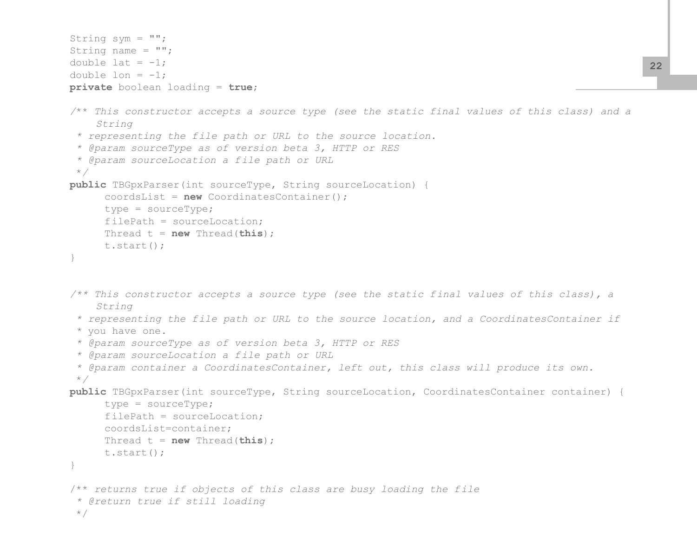```
String sym = "";
String name = "";
double lat = -1;
double lon = -1;
private boolean loading = true;
/** This constructor accepts a source type (see the static final values of this class) and a
     String
  * representing the file path or URL to the source location.
  * @param sourceType as of version beta 3, HTTP or RES
  * @param sourceLocation a file path or URL
  */
public TBGpxParser(int sourceType, String sourceLocation) {
       coordsList = new CoordinatesContainer();
       type = sourceType;
      filePath = sourceLocation;
      Thread t = new Thread(this);
      t.start();
}
/** This constructor accepts a source type (see the static final values of this class), a 
     String
  * representing the file path or URL to the source location, and a CoordinatesContainer if 
  * you have one.
  * @param sourceType as of version beta 3, HTTP or RES
  * @param sourceLocation a file path or URL
  * @param container a CoordinatesContainer, left out, this class will produce its own.
  */
public TBGpxParser(int sourceType, String sourceLocation, CoordinatesContainer container) {
       type = sourceType;
      filePath = sourceLocation;
       coordsList=container;
      Thread t = new Thread(this);
      t.start();
}
/** returns true if objects of this class are busy loading the file
  * @return true if still loading
  */
```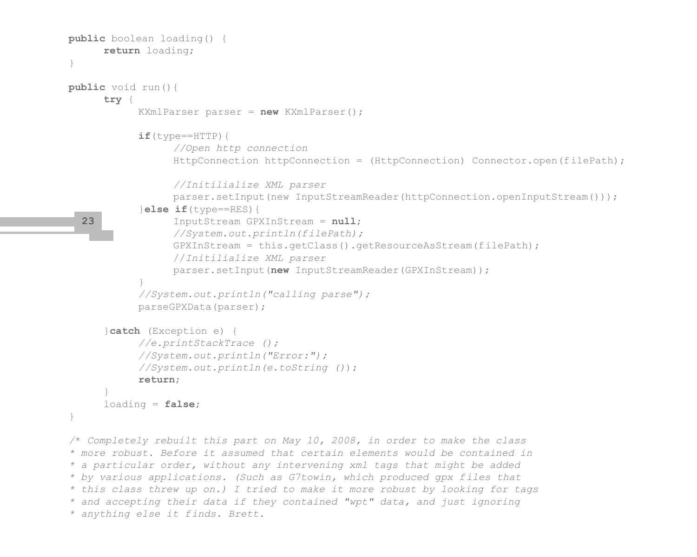```
public boolean loading() {
            return loading;
     }
     public void run(){
            try {
                 KXmlParser parser = new KXmlParser();
                if(type==HTTP) {
                       //Open http connection
                      HttpConnection httpConnection = (HttpConnection) Connector.open(filePath);
                       //Initilialize XML parser
                      parser.setInput(new InputStreamReader(httpConnection.openInputStream()));
                  }else if(type==RES){
                       InputStream GPXInStream = null;
                       //System.out.println(filePath);
                       GPXInStream = this.getClass().getResourceAsStream(filePath);
                       //Initilialize XML parser
                       parser.setInput(new InputStreamReader(GPXInStream));
 }
                  //System.out.println("calling parse");
                 parseGPXData(parser);
            }catch (Exception e) {
                 //e.printStackTrace ();
                 //System.out.println("Error:");
                 //System.out.println(e.toString ());
                 return;
 }
            loading = false;
     }
     /* Completely rebuilt this part on May 10, 2008, in order to make the class
     * more robust. Before it assumed that certain elements would be contained in 
     * a particular order, without any intervening xml tags that might be added
     * by various applications. (Such as G7towin, which produced gpx files that 
     * this class threw up on.) I tried to make it more robust by looking for tags
       23
```
*\* and accepting their data if they contained "wpt" data, and just ignoring \* anything else it finds. Brett.*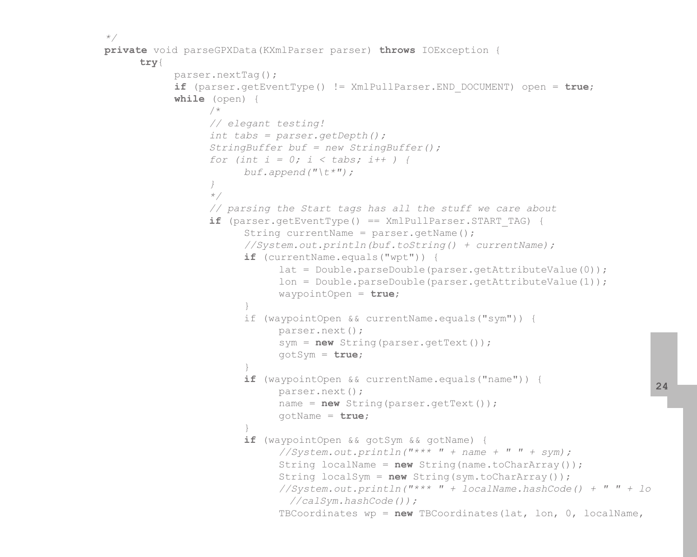```
*/
     private void parseGPXData(KXmlParser parser) throws IOException {
           try{
                parser.nextTag();
                if (parser.getEventType() != XmlPullParser.END_DOCUMENT) open = true;
                while (open) {
 /*
                      // elegant testing!
                     int tabs = parser.getDepth();
                      StringBuffer buf = new StringBuffer();
                     for (int i = 0; i < tabs; i++ ) {
                           buf.append("\t*");
 }
                     */
                      // parsing the Start tags has all the stuff we care about
                     if (parser.getEventType() == XmlPullParser.START_TAG) {
                           String currentName = parser.getName();
                           //System.out.println(buf.toString() + currentName);
                          if (currentName.equals("wpt")) {
                                 lat = Double.parseDouble(parser.getAttributeValue(0));
                               lon = Double.parseDouble(parser.getAttributeValue(1));
                                waypointOpen = true;
 }
                           if (waypointOpen && currentName.equals("sym")) {
                                 parser.next();
                                 sym = new String(parser.getText());
                                 gotSym = true;
 }
                          if (waypointOpen && currentName.equals("name")) {
                                parser.next();
                                 name = new String(parser.getText());
                                 gotName = true;
 }
                          if (waypointOpen && gotSym && gotName) {
                                 //System.out.println("*** " + name + " " + sym);
                                 String localName = new String(name.toCharArray());
                                String localSym = new String(sym.toCharArray());
                                 //System.out.println("*** " + localName.hashCode() + " " + lo
                                  //calSym.hashCode());
                                 TBCoordinates wp = new TBCoordinates(lat, lon, 0, localName,
```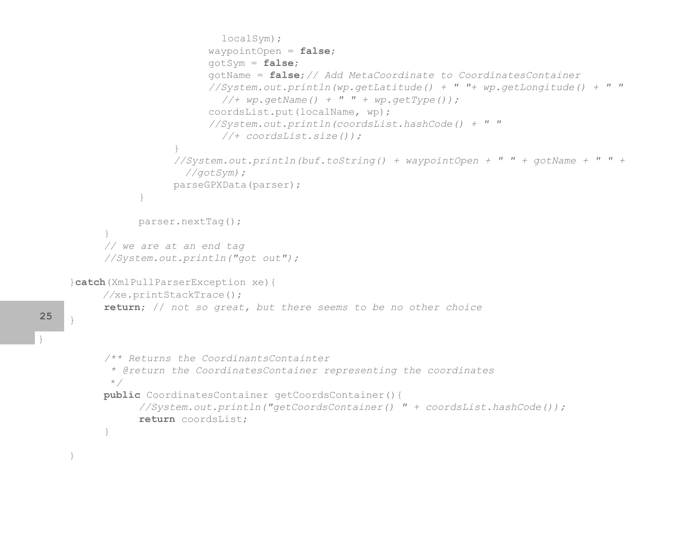```
 localSym);
                       waypointOpen = false;
                       gotSym = false;
                       gotName = false;// Add MetaCoordinate to CoordinatesContainer
                       //System.out.println(wp.getLatitude() + " "+ wp.getLongitude() + " "
                         //+ wp.getName() + " " + wp.getType());
                       coordsList.put(localName, wp);
                      //System.out.println(coordsList.hashCode() + " " 
                         //+ coordsList.size());
 }
                  //System.out.println(buf.toString() + waypointOpen + " " + gotName + " " + 
                    //gotSym);
                 parseGPXData(parser);
 }
            parser.nextTag();
     }
     // we are at an end tag
     //System.out.println("got out");
}catch(XmlPullParserException xe){
      //xe.printStackTrace();
     return; // not so great, but there seems to be no other choice
}
     /** Returns the CoordinantsContainter
       * @return the CoordinatesContainer representing the coordinates
       */
     public CoordinatesContainer getCoordsContainer(){
            //System.out.println("getCoordsContainer() " + coordsList.hashCode());
            return coordsList;
     }
```
}

**25**

}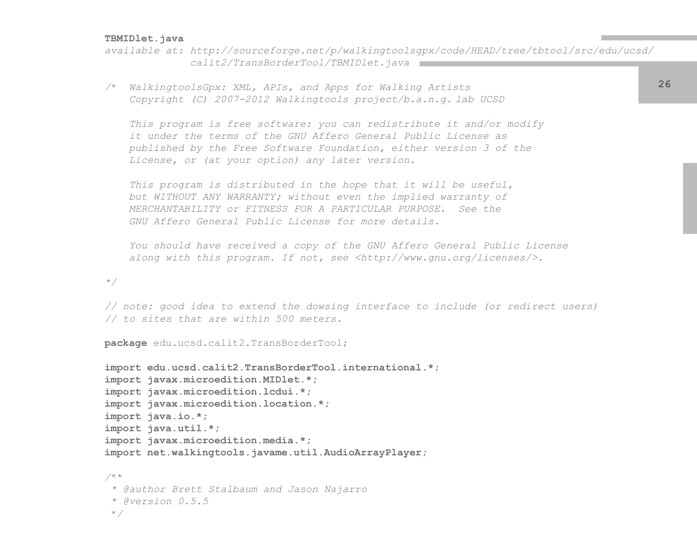### **TBMIDlet.java**

*available at: http://sourceforge.net/p/walkingtoolsgpx/code/HEAD/tree/tbtool/src/edu/ucsd/ calit2/TransBorderTool/TBMIDlet.java*

*/*\* *WalkingtoolsGpx: XML, APIs, and Apps for Walking Artists Copyright (C) 2007-2012 Walkingtools project/b.a.n.g. lab UCSD*

 *This program is free software: you can redistribute it and/or modify it under the terms of the GNU Affero General Public License as published by the Free Software Foundation, either version 3 of the License, or (at your option) any later version.*

 *This program is distributed in the hope that it will be useful, but WITHOUT ANY WARRANTY; without even the implied warranty of MERCHANTABILITY or FITNESS FOR A PARTICULAR PURPOSE. See the GNU Affero General Public License for more details.*

 *You should have received a copy of the GNU Affero General Public License along with this program. If not, see <http://www.gnu.org/licenses/>.*

*\*/*

*// note: good idea to extend the dowsing interface to include (or redirect users) // to sites that are within 500 meters.*

**package** edu.ucsd.calit2.TransBorderTool;

```
import edu.ucsd.calit2.TransBorderTool.international.*;
import javax.microedition.MIDlet.*;
import javax.microedition.lcdui.*;
import javax.microedition.location.*;
import java.io.*;
import java.util.*;
import javax.microedition.media.*;
import net.walkingtools.javame.util.AudioArrayPlayer;
/**
  * @author Brett Stalbaum and Jason Najarro
  * @version 0.5.5
  */
```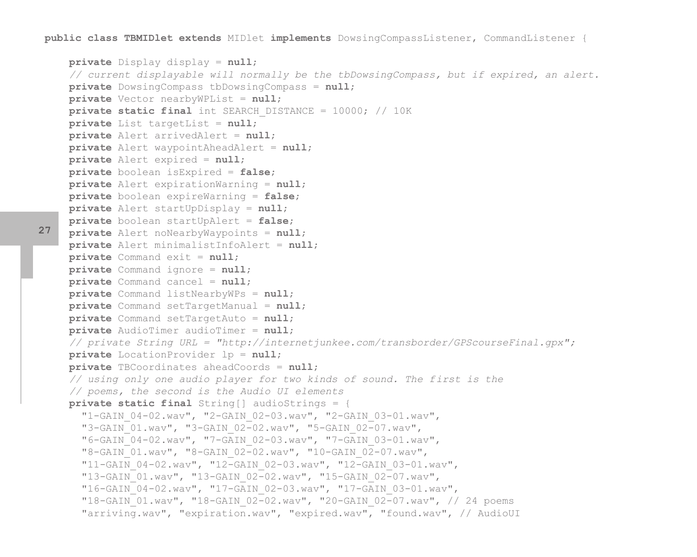**public class TBMIDlet extends** MIDlet **implements** DowsingCompassListener, CommandListener {

```
 private Display display = null;
 // current displayable will normally be the tbDowsingCompass, but if expired, an alert.
 private DowsingCompass tbDowsingCompass = null;
 private Vector nearbyWPList = null;
 private static final int SEARCH_DISTANCE = 10000; // 10K
 private List targetList = null;
 private Alert arrivedAlert = null;
 private Alert waypointAheadAlert = null;
 private Alert expired = null;
 private boolean isExpired = false;
 private Alert expirationWarning = null;
 private boolean expireWarning = false;
 private Alert startUpDisplay = null;
 private boolean startUpAlert = false;
 private Alert noNearbyWaypoints = null;
 private Alert minimalistInfoAlert = null;
 private Command exit = null;
 private Command ignore = null;
 private Command cancel = null;
 private Command listNearbyWPs = null;
 private Command setTargetManual = null;
 private Command setTargetAuto = null;
 private AudioTimer audioTimer = null;
 // private String URL = "http://internetjunkee.com/transborder/GPScourseFinal.gpx";
 private LocationProvider lp = null;
 private TBCoordinates aheadCoords = null;
 // using only one audio player for two kinds of sound. The first is the
 // poems, the second is the Audio UI elements
 private static final String[] audioStrings = {
   "1-GAIN_04-02.wav", "2-GAIN_02-03.wav", "2-GAIN_03-01.wav", 
   "3-GAIN_01.wav", "3-GAIN_02-02.wav", "5-GAIN_02-07.wav", 
   "6-GAIN_04-02.wav", "7-GAIN_02-03.wav", "7-GAIN_03-01.wav", 
   "8-GAIN_01.wav", "8-GAIN_02-02.wav", "10-GAIN_02-07.wav", 
   "11-GAIN_04-02.wav", "12-GAIN_02-03.wav", "12-GAIN_03-01.wav", 
   "13-GAIN_01.wav", "13-GAIN_02-02.wav", "15-GAIN_02-07.wav", 
   "16-GAIN_04-02.wav", "17-GAIN_02-03.wav", "17-GAIN_03-01.wav", 
   "18-GAIN_01.wav", "18-GAIN_02-02.wav", "20-GAIN_02-07.wav", // 24 poems
   "arriving.wav", "expiration.wav", "expired.wav", "found.wav", // AudioUI
```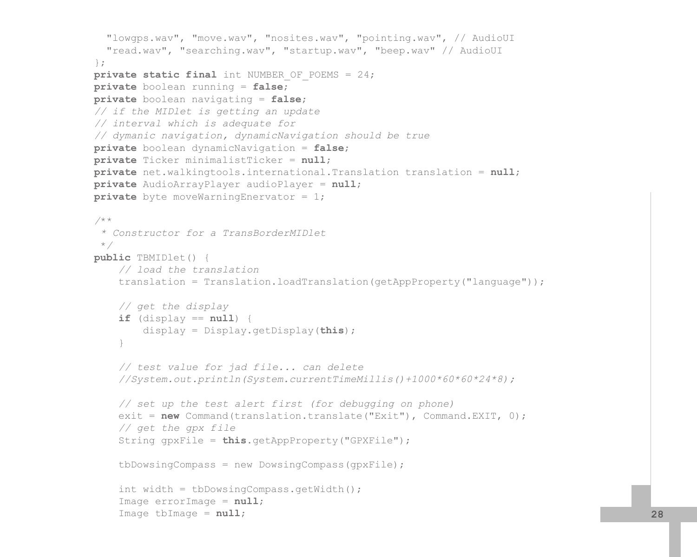```
 "lowgps.wav", "move.wav", "nosites.wav", "pointing.wav", // AudioUI 
      "read.wav", "searching.wav", "startup.wav", "beep.wav" // AudioUI
    };
   private static final int NUMBER OF POEMS = 24;
    private boolean running = false;
    private boolean navigating = false;
    // if the MIDlet is getting an update
    // interval which is adequate for
    // dymanic navigation, dynamicNavigation should be true
    private boolean dynamicNavigation = false;
    private Ticker minimalistTicker = null;
    private net.walkingtools.international.Translation translation = null;
    private AudioArrayPlayer audioPlayer = null;
    private byte moveWarningEnervator = 1;
    /**
      * Constructor for a TransBorderMIDlet
     */
    public TBMIDlet() {
        // load the translation
        translation = Translation.loadTranslation(getAppProperty("language"));
        // get the display
        if (display == null) {
            display = Display.getDisplay(this);
 }
        // test value for jad file... can delete
        //System.out.println(System.currentTimeMillis()+1000*60*60*24*8);
        // set up the test alert first (for debugging on phone)
        exit = new Command(translation.translate("Exit"), Command.EXIT, 0);
        // get the gpx file
        String gpxFile = this.getAppProperty("GPXFile");
       tbDowsingCompass = new DowsingCompass(gpxFile); int width = tbDowsingCompass.getWidth();
        Image errorImage = null;
        Image tbImage = null; 28
```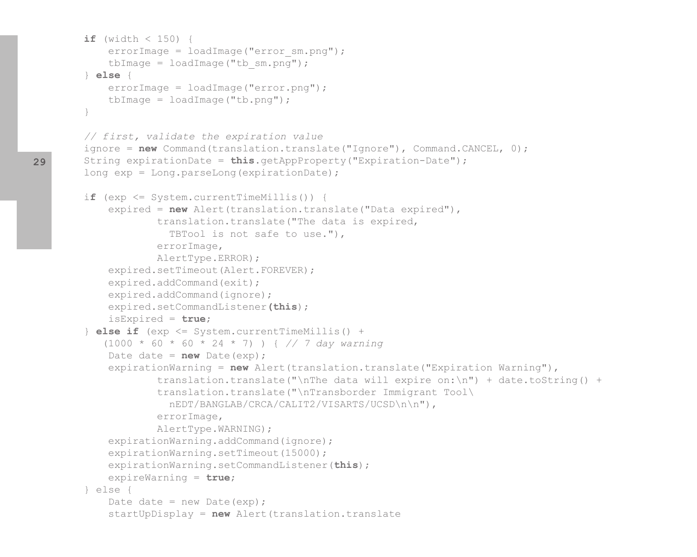```
if (width < 150) {
            errorImage = loadImage("error sm.png");
            tbImage = loadImage("tb sm.pnq");
         } else {
             errorImage = loadImage("error.png");
             tbImage = loadImage("tb.png");
 }
        // first, validate the expiration value
       ignore = new Command(translation.translate("Ignore"), Command.CANCEL, 0);
        String expirationDate = this.getAppProperty("Expiration-Date");
        long exp = Long.parseLong(expirationDate);
         if (exp <= System.currentTimeMillis()) {
             expired = new Alert(translation.translate("Data expired"),
                     translation.translate("The data is expired, 
                       TBTool is not safe to use."),
                     errorImage,
                     AlertType.ERROR);
             expired.setTimeout(Alert.FOREVER);
            expired.addCommand(exit);
            expired.addCommand(ignore);
             expired.setCommandListener(this);
             isExpired = true;
         } else if (exp <= System.currentTimeMillis() + 
            (1000 * 60 * 60 * 24 * 7) ) { // 7 day warning
            Date date = new Date(exp);
             expirationWarning = new Alert(translation.translate("Expiration Warning"),
                    translation.translate("\nThe data will expire on:\n") + date.toString() +
                     translation.translate("\nTransborder Immigrant Tool\
                       nEDT/BANGLAB/CRCA/CALIT2/VISARTS/UCSD\n\n"),
                     errorImage,
                     AlertType.WARNING);
            expirationWarning.addCommand(ignore);
            expirationWarning.setTimeout(15000);
             expirationWarning.setCommandListener(this);
             expireWarning = true;
        } else {
            Date date = new Date(exp);
             startUpDisplay = new Alert(translation.translate
```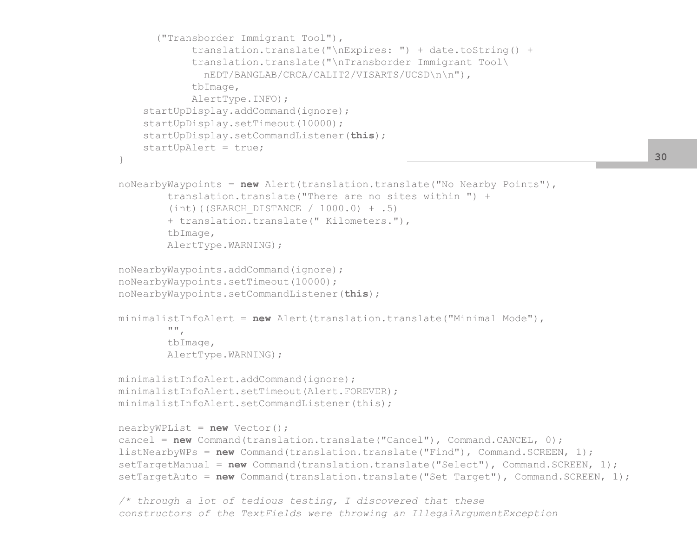```
 ("Transborder Immigrant Tool"),
                     translation.translate("\nExpires: ") + date.toString() +
                     translation.translate("\nTransborder Immigrant Tool\
                       nEDT/BANGLAB/CRCA/CALIT2/VISARTS/UCSD\n\n"),
                     tbImage,
                     AlertType.INFO);
             startUpDisplay.addCommand(ignore);
             startUpDisplay.setTimeout(10000);
             startUpDisplay.setCommandListener(this);
             startUpAlert = true;
 }
        noNearbyWaypoints = new Alert(translation.translate("No Nearby Points"),
                 translation.translate("There are no sites within ") +
                (int) ((SEARCH DISTANCE / 1000.0) + .5) + translation.translate(" Kilometers."),
                 tbImage,
                 AlertType.WARNING);
        noNearbyWaypoints.addCommand(ignore);
        noNearbyWaypoints.setTimeout(10000);
        noNearbyWaypoints.setCommandListener(this);
        minimalistInfoAlert = new Alert(translation.translate("Minimal Mode"),
                 "",
                 tbImage,
                 AlertType.WARNING);
        minimalistInfoAlert.addCommand(ignore);
        minimalistInfoAlert.setTimeout(Alert.FOREVER);
        minimalistInfoAlert.setCommandListener(this);
        nearbyWPList = new Vector();
         cancel = new Command(translation.translate("Cancel"), Command.CANCEL, 0);
       listNearbyWPs = new Command(translation.translate("Find"), Command.SCREEN, 1);
       setTargetManual = new Command(translation.translate("Select"), Command.SCREEN, 1);
       setTargetAuto = new Command(translation.translate("Set Target"), Command.SCREEN, 1);
        /* through a lot of tedious testing, I discovered that these
```

```
 constructors of the TextFields were throwing an IllegalArgumentException
```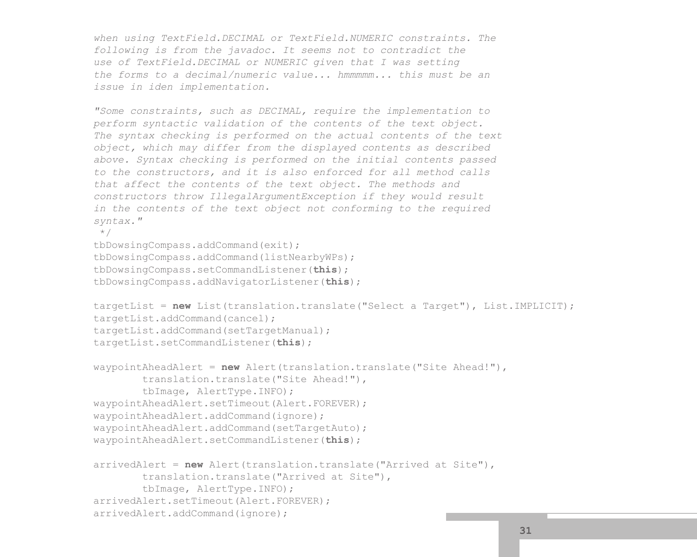*when using TextField.DECIMAL or TextField.NUMERIC constraints. The following is from the javadoc. It seems not to contradict the use of TextField.DECIMAL or NUMERIC given that I was setting the forms to a decimal/numeric value... hmmmmm... this must be an issue in iden implementation.*

```
 "Some constraints, such as DECIMAL, require the implementation to
 perform syntactic validation of the contents of the text object.
 The syntax checking is performed on the actual contents of the text
 object, which may differ from the displayed contents as described
 above. Syntax checking is performed on the initial contents passed
 to the constructors, and it is also enforced for all method calls
 that affect the contents of the text object. The methods and
 constructors throw IllegalArgumentException if they would result
 in the contents of the text object not conforming to the required
 syntax."
```

```
 */
```

```
 tbDowsingCompass.addCommand(exit);
 tbDowsingCompass.addCommand(listNearbyWPs);
 tbDowsingCompass.setCommandListener(this);
 tbDowsingCompass.addNavigatorListener(this);
```

```
 targetList = new List(translation.translate("Select a Target"), List.IMPLICIT);
 targetList.addCommand(cancel);
 targetList.addCommand(setTargetManual);
 targetList.setCommandListener(this);
```

```
 waypointAheadAlert = new Alert(translation.translate("Site Ahead!"),
         translation.translate("Site Ahead!"),
         tbImage, AlertType.INFO);
 waypointAheadAlert.setTimeout(Alert.FOREVER);
 waypointAheadAlert.addCommand(ignore);
 waypointAheadAlert.addCommand(setTargetAuto);
 waypointAheadAlert.setCommandListener(this);
```

```
 arrivedAlert = new Alert(translation.translate("Arrived at Site"),
         translation.translate("Arrived at Site"),
         tbImage, AlertType.INFO);
 arrivedAlert.setTimeout(Alert.FOREVER);
 arrivedAlert.addCommand(ignore);
```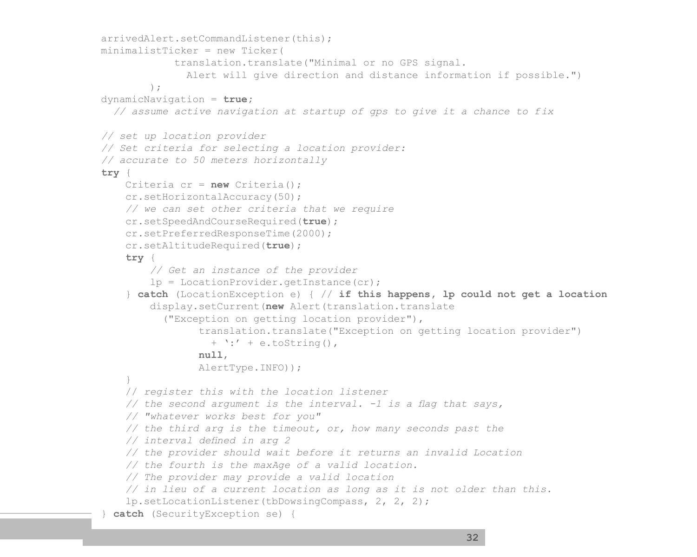```
 arrivedAlert.setCommandListener(this);
        minimalistTicker = new Ticker(
                     translation.translate("Minimal or no GPS signal. 
                       Alert will give direction and distance information if possible.")
\frac{1}{r} dynamicNavigation = true;
           // assume active navigation at startup of gps to give it a chance to fix
        // set up location provider
        // Set criteria for selecting a location provider:
        // accurate to 50 meters horizontally
        try {
            Criteria cr = new Criteria();
             cr.setHorizontalAccuracy(50);
            // we can set other criteria that we require
             cr.setSpeedAndCourseRequired(true);
             cr.setPreferredResponseTime(2000);
            cr.setAltitudeRequired(true);
             try {
                 // Get an instance of the provider
                 lp = LocationProvider.getInstance(cr);
             } catch (LocationException e) { // if this happens, lp could not get a location
                 display.setCurrent(new Alert(translation.translate
                   ("Exception on getting location provider"),
                         translation.translate("Exception on getting location provider")
                          + ':' + e.toString(),
                         null,
                         AlertType.INFO));
 }
            // register this with the location listener
            // the second argument is the interval. -1 is a fag that says,
            // "whatever works best for you"
            // the third arg is the timeout, or, how many seconds past the 
            // interval defned in arg 2
            // the provider should wait before it returns an invalid Location
            // the fourth is the maxAge of a valid location. 
            // The provider may provide a valid location
            // in lieu of a current location as long as it is not older than this.
             lp.setLocationListener(tbDowsingCompass, 2, 2, 2);
         } catch (SecurityException se) {
```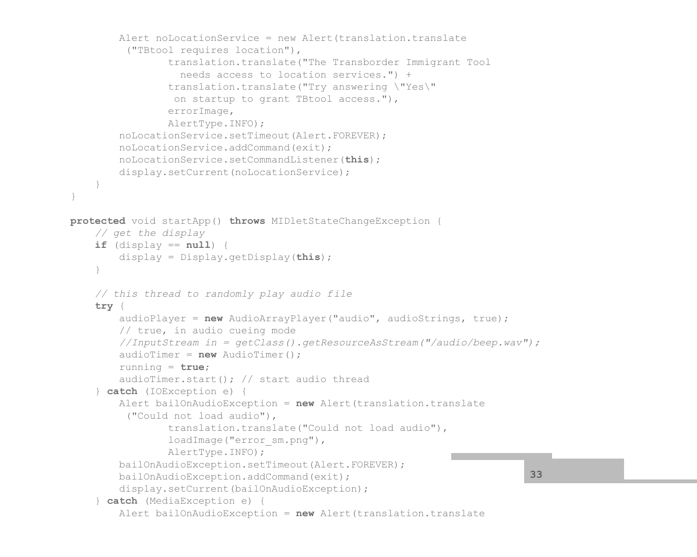```
 Alert noLocationService = new Alert(translation.translate
              ("TBtool requires location"),
                     translation.translate("The Transborder Immigrant Tool 
                       needs access to location services.") +
                     translation.translate("Try answering \"Yes\" 
                      on startup to grant TBtool access."),
                     errorImage,
                     AlertType.INFO);
             noLocationService.setTimeout(Alert.FOREVER);
             noLocationService.addCommand(exit);
             noLocationService.setCommandListener(this);
            display.setCurrent(noLocationService);
 }
     }
    protected void startApp() throws MIDletStateChangeException {
        // get the display
        if (display == null) {
             display = Display.getDisplay(this);
 }
        // this thread to randomly play audio file
         try {
             audioPlayer = new AudioArrayPlayer("audio", audioStrings, true); 
             // true, in audio cueing mode
             //InputStream in = getClass().getResourceAsStream("/audio/beep.wav");
             audioTimer = new AudioTimer();
             running = true;
             audioTimer.start(); // start audio thread
         } catch (IOException e) {
             Alert bailOnAudioException = new Alert(translation.translate
              ("Could not load audio"),
                     translation.translate("Could not load audio"),
                    loadImage("error sm.png"),
                     AlertType.INFO);
             bailOnAudioException.setTimeout(Alert.FOREVER);
             bailOnAudioException.addCommand(exit);
            display.setCurrent(bailOnAudioException);
         } catch (MediaException e) {
             Alert bailOnAudioException = new Alert(translation.translate
                                                                                 33
```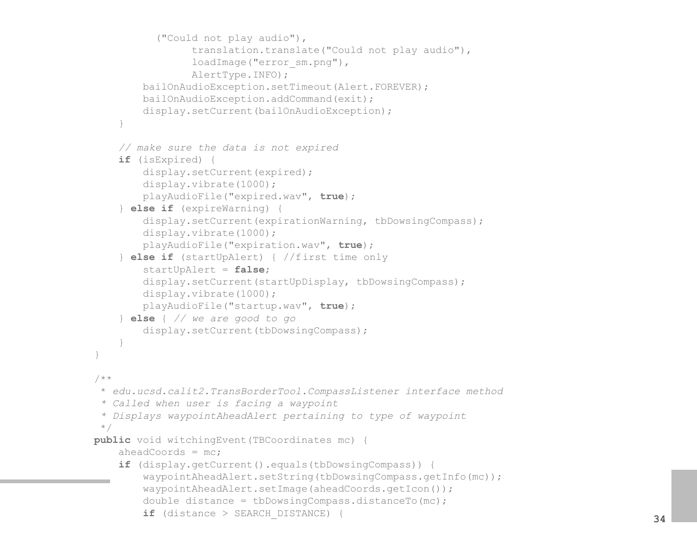```
 ("Could not play audio"),
                     translation.translate("Could not play audio"),
                    loadImage("error_sm.png"),
                     AlertType.INFO);
             bailOnAudioException.setTimeout(Alert.FOREVER);
            bailOnAudioException.addCommand(exit);
           display.setCurrent(bailOnAudioException);
 }
        // make sure the data is not expired
        if (isExpired) {
           display.setCurrent(expired);
            display.vibrate(1000);
            playAudioFile("expired.wav", true);
         } else if (expireWarning) {
           display.setCurrent(expirationWarning, tbDowsingCompass);
             display.vibrate(1000);
            playAudioFile("expiration.wav", true);
         } else if (startUpAlert) { //first time only
             startUpAlert = false;
            display.setCurrent(startUpDisplay, tbDowsingCompass);
             display.vibrate(1000);
            playAudioFile("startup.wav", true);
         } else { // we are good to go
            display.setCurrent(tbDowsingCompass);
 }
 }
    /**
     * edu.ucsd.calit2.TransBorderTool.CompassListener interface method
      * Called when user is facing a waypoint
      * Displays waypointAheadAlert pertaining to type of waypoint
      */
    public void witchingEvent(TBCoordinates mc) {
        aheadCoords = mc; if (display.getCurrent().equals(tbDowsingCompass)) {
            waypointAheadAlert.setString(tbDowsingCompass.getInfo(mc));
             waypointAheadAlert.setImage(aheadCoords.getIcon());
            double distance = tbDowsingCompass.distanceTo(mc); if (distance > SEARCH_DISTANCE) {
```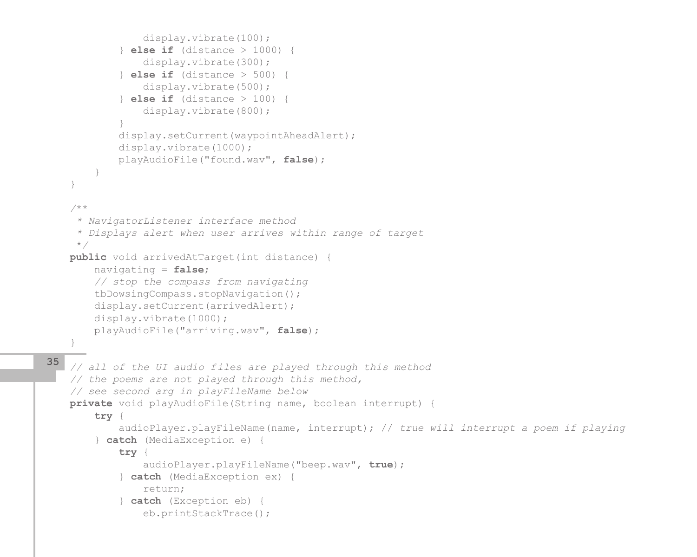```
 display.vibrate(100);
             } else if (distance > 1000) {
                 display.vibrate(300);
             } else if (distance > 500) {
                 display.vibrate(500);
             } else if (distance > 100) {
                 display.vibrate(800);
 }
            display.setCurrent(waypointAheadAlert);
             display.vibrate(1000);
            playAudioFile("found.wav", false);
 }
 }
     /**
      * NavigatorListener interface method
      * Displays alert when user arrives within range of target
      */
    public void arrivedAtTarget(int distance) {
        navigating = false;
        // stop the compass from navigating
        tbDowsingCompass.stopNavigation();
       display.setCurrent(arrivedAlert);
        display.vibrate(1000);
        playAudioFile("arriving.wav", false);
 }
    // all of the UI audio files are played through this method
    // the poems are not played through this method,
    // see second arg in playFileName below
    private void playAudioFile(String name, boolean interrupt) {
         try {
             audioPlayer.playFileName(name, interrupt); // true will interrupt a poem if playing
         } catch (MediaException e) {
             try {
                 audioPlayer.playFileName("beep.wav", true);
             } catch (MediaException ex) {
                 return;
             } catch (Exception eb) {
                 eb.printStackTrace();
35
```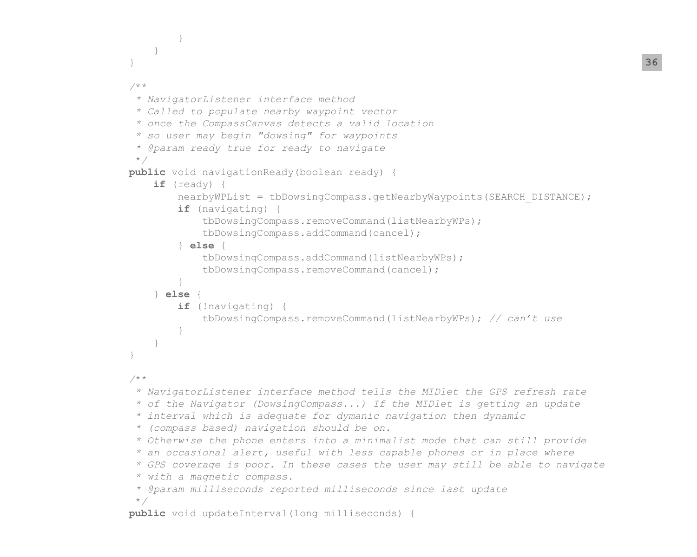```
 }
 }
 }
    /**
      * NavigatorListener interface method
      * Called to populate nearby waypoint vector
      * once the CompassCanvas detects a valid location
      * so user may begin "dowsing" for waypoints
      * @param ready true for ready to navigate
     */
    public void navigationReady(boolean ready) {
        if (ready) {
           nearbyWPList = tbDowsingCompass.getNearbyWaypoints(SEARCH_DISTANCE);
            if (navigating) {
                tbDowsingCompass.removeCommand(listNearbyWPs);
                tbDowsingCompass.addCommand(cancel);
            } else {
                tbDowsingCompass.addCommand(listNearbyWPs);
               tbDowsingCompass.removeCommand(cancel);
 }
        } else {
            if (!navigating) {
                tbDowsingCompass.removeCommand(listNearbyWPs); // can't use
 }
 }
 }
     /**
      * NavigatorListener interface method tells the MIDlet the GPS refresh rate
      * of the Navigator (DowsingCompass...) If the MIDlet is getting an update
      * interval which is adequate for dymanic navigation then dynamic
      * (compass based) navigation should be on.
      * Otherwise the phone enters into a minimalist mode that can still provide
      * an occasional alert, useful with less capable phones or in place where
      * GPS coverage is poor. In these cases the user may still be able to navigate
      * with a magnetic compass.
      * @param milliseconds reported milliseconds since last update
     */
    public void updateInterval(long milliseconds) {
```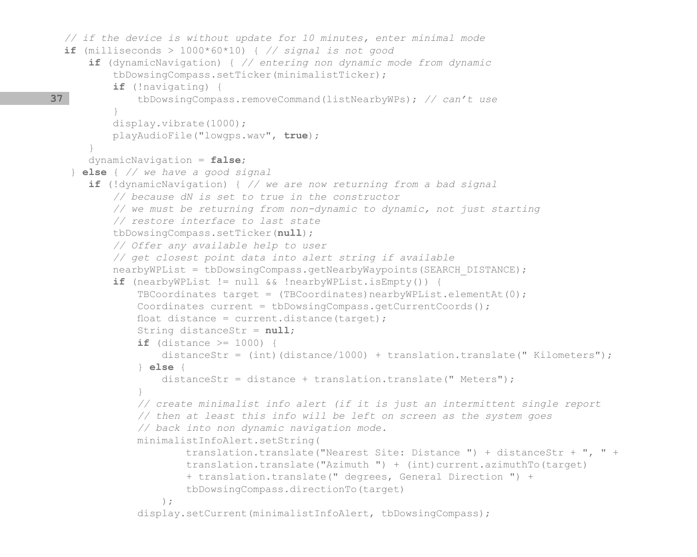```
 // if the device is without update for 10 minutes, enter minimal mode
        if (milliseconds > 1000*60*10) { // signal is not good
            if (dynamicNavigation) { // entering non dynamic mode from dynamic
                tbDowsingCompass.setTicker(minimalistTicker);
                if (!navigating) {
                    tbDowsingCompass.removeCommand(listNearbyWPs); // can't use
 }
                display.vibrate(1000);
                playAudioFile("lowgps.wav", true);
 }
            dynamicNavigation = false;
         } else { // we have a good signal
            if (!dynamicNavigation) { // we are now returning from a bad signal
                // because dN is set to true in the constructor
                // we must be returning from non-dynamic to dynamic, not just starting
                // restore interface to last state
                tbDowsingCompass.setTicker(null);
                // Offer any available help to user
                // get closest point data into alert string if available
               nearbyWPList = tbDowsingCompass.getNearbyWaypoints(SEARCH_DISTANCE);
                if (nearbyWPList != null && !nearbyWPList.isEmpty()) {
                   TBCoordinates target = (TBCoordinates)nearbyWPList.elementAt(0);
                    Coordinates current = tbDowsingCompass.getCurrentCoords();
                   float distance = current.distance(target);
                    String distanceStr = null;
                    if (distance >= 1000) {
                        distanceStr = (int)(distance/1000) + translation.translate(" Kilometers");
                    } else {
                        distanceStr = distance + translation.translate(" Meters");
 }
                    // create minimalist info alert (if it is just an intermittent single report
                    // then at least this info will be left on screen as the system goes
                    // back into non dynamic navigation mode.
                    minimalistInfoAlert.setString(
                            translation.translate("Nearest Site: Distance ") + distanceStr + ", " +
                            translation.translate("Azimuth ") + (int)current.azimuthTo(target)
                            + translation.translate(" degrees, General Direction ") +
                            tbDowsingCompass.directionTo(target)
\frac{1}{r}display.setCurrent(minimalistInfoAlert, tbDowsingCompass);
     37
```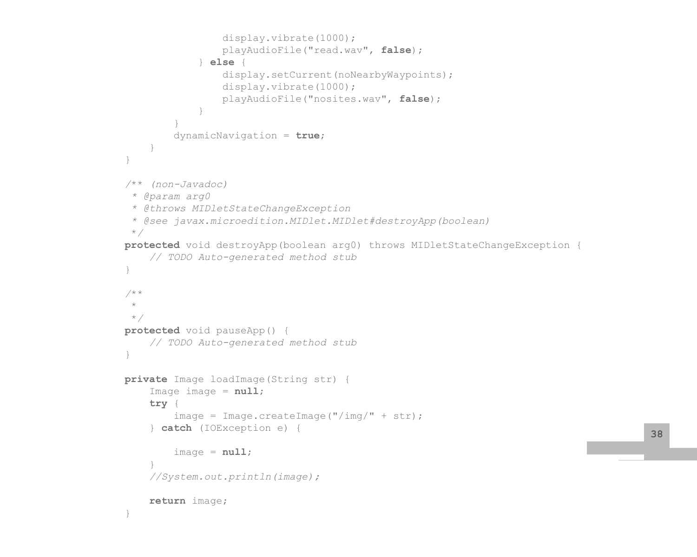```
 display.vibrate(1000);
                     playAudioFile("read.wav", false);
                 } else {
                    display.setCurrent(noNearbyWaypoints);
                     display.vibrate(1000);
                     playAudioFile("nosites.wav", false);
 }
 }
            dynamicNavigation = true;
 }
 }
     /** (non-Javadoc)
      * @param arg0
     * @throws MIDletStateChangeException
     * @see javax.microedition.MIDlet.MIDlet#destroyApp(boolean)
     */
    protected void destroyApp(boolean arg0) throws MIDletStateChangeException {
        // TODO Auto-generated method stub
\qquad \qquad \} /**
\star */
    protected void pauseApp() {
        // TODO Auto-generated method stub
 }
    private Image loadImage(String str) {
         Image image = null;
         try {
            image = Image.createImage("/img/" + str); } catch (IOException e) {
            image = null; }
         //System.out.println(image);
        return image;
\qquad \qquad \}
```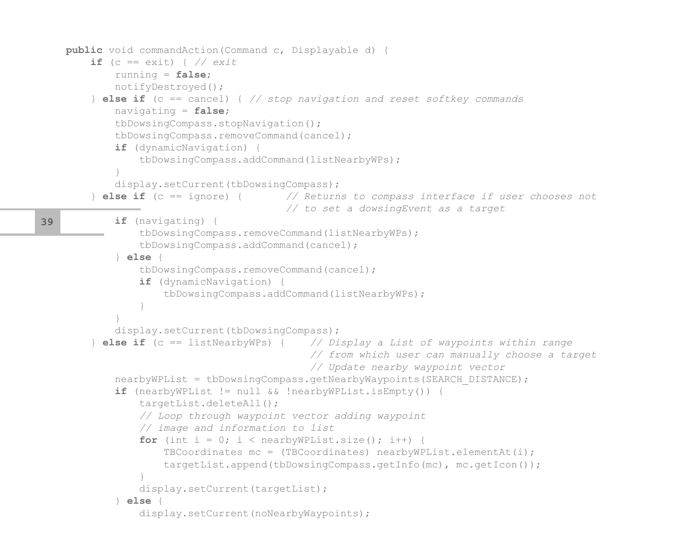```
 public void commandAction(Command c, Displayable d) {
        if (c == exit) { } // exit running = false;
             notifyDestroyed();
         } else if (c == cancel) { // stop navigation and reset softkey commands
             navigating = false;
             tbDowsingCompass.stopNavigation();
             tbDowsingCompass.removeCommand(cancel);
             if (dynamicNavigation) {
                tbDowsingCompass.addCommand(listNearbyWPs);
 }
           display.setCurrent(tbDowsingCompass);
         } else if (c == ignore) { // Returns to compass interface if user chooses not 
                                        // to set a dowsingEvent as a target
             if (navigating) {
                tbDowsingCompass.removeCommand(listNearbyWPs);
                 tbDowsingCompass.addCommand(cancel);
             } else {
                 tbDowsingCompass.removeCommand(cancel);
                 if (dynamicNavigation) {
                    tbDowsingCompass.addCommand(listNearbyWPs);
 }
 }
            display.setCurrent(tbDowsingCompass);
         } else if (c == listNearbyWPs) { // Display a List of waypoints within range
                                            // from which user can manually choose a target
                                            // Update nearby waypoint vector
           nearbyWPList = tbDowsingCompass.getNearbyWaypoints(SEARCH_DISTANCE);
             if (nearbyWPList != null && !nearbyWPList.isEmpty()) {
                 targetList.deleteAll();
                // Loop through waypoint vector adding waypoint
                // image and information to list
                for (int i = 0; i < nearbyWPList.size(); i++) {
                    TBCoordinates mc = (TBCoordinates) nearbyWPList.elementAt(i);
                     targetList.append(tbDowsingCompass.getInfo(mc), mc.getIcon());
 }
               display.setCurrent(targetList);
             } else {
                display.setCurrent(noNearbyWaypoints);
39
```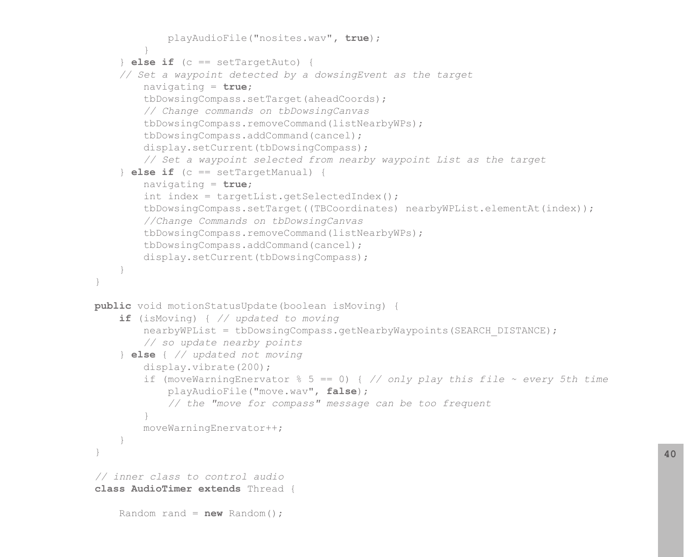```
 playAudioFile("nosites.wav", true);
 }
         } else if (c == setTargetAuto) { 
        // Set a waypoint detected by a dowsingEvent as the target
            navigating = true;
             tbDowsingCompass.setTarget(aheadCoords);
             // Change commands on tbDowsingCanvas
             tbDowsingCompass.removeCommand(listNearbyWPs);
             tbDowsingCompass.addCommand(cancel);
            display.setCurrent(tbDowsingCompass);
            // Set a waypoint selected from nearby waypoint List as the target
         } else if (c == setTargetManual) {
            navigating = true;
            int index = targetList.getSelectedIndex();
             tbDowsingCompass.setTarget((TBCoordinates) nearbyWPList.elementAt(index));
            //Change Commands on tbDowsingCanvas
             tbDowsingCompass.removeCommand(listNearbyWPs);
             tbDowsingCompass.addCommand(cancel);
            display.setCurrent(tbDowsingCompass);
 }
 }
    public void motionStatusUpdate(boolean isMoving) {
        if (isMoving) { // updated to moving
           nearbyWPList = tbDowsingCompass.getNearbyWaypoints(SEARCH_DISTANCE);
            // so update nearby points
         } else { // updated not moving
             display.vibrate(200);
            if (moveWarningEnervator % 5 == 0) { // only play this file ~ every 5th time
                playAudioFile("move.wav", false); 
                // the "move for compass" message can be too frequent
 }
            moveWarningEnervator++;
 }
\qquad \qquad \} // inner class to control audio
    class AudioTimer extends Thread {
       Random rand = new Random();
```